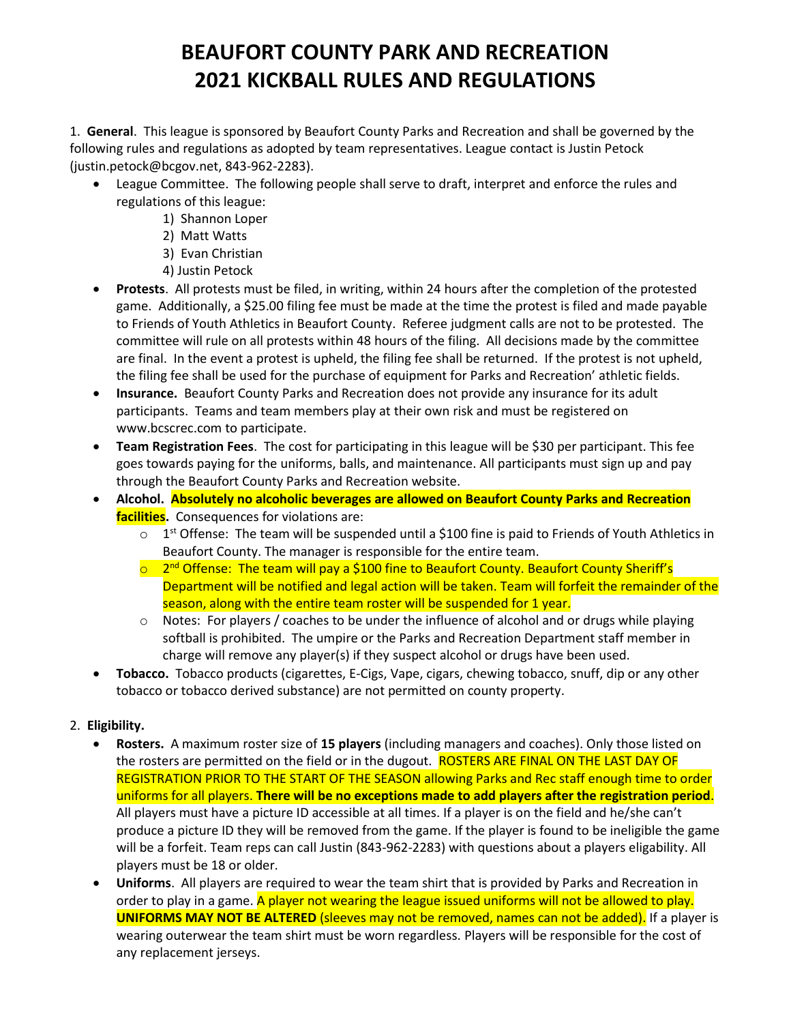# **BEAUFORT COUNTY PARK AND RECREATION 2021 KICKBALL RULES AND REGULATIONS**

1. **General**. This league is sponsored by Beaufort County Parks and Recreation and shall be governed by the following rules and regulations as adopted by team representatives. League contact is Justin Petock (justin.petock@bcgov.net, 843-962-2283).

- League Committee. The following people shall serve to draft, interpret and enforce the rules and regulations of this league:
	- 1) Shannon Loper
	- 2) Matt Watts
	- 3) Evan Christian
	- 4) Justin Petock
- **Protests**. All protests must be filed, in writing, within 24 hours after the completion of the protested game. Additionally, a \$25.00 filing fee must be made at the time the protest is filed and made payable to Friends of Youth Athletics in Beaufort County. Referee judgment calls are not to be protested. The committee will rule on all protests within 48 hours of the filing. All decisions made by the committee are final. In the event a protest is upheld, the filing fee shall be returned. If the protest is not upheld, the filing fee shall be used for the purchase of equipment for Parks and Recreation' athletic fields.
- **Insurance.** Beaufort County Parks and Recreation does not provide any insurance for its adult participants. Teams and team members play at their own risk and must be registered on www.bcscrec.com to participate.
- **Team Registration Fees**. The cost for participating in this league will be \$30 per participant. This fee goes towards paying for the uniforms, balls, and maintenance. All participants must sign up and pay through the Beaufort County Parks and Recreation website.
- **Alcohol. Absolutely no alcoholic beverages are allowed on Beaufort County Parks and Recreation facilities.** Consequences for violations are:
	- $\circ$  1<sup>st</sup> Offense: The team will be suspended until a \$100 fine is paid to Friends of Youth Athletics in Beaufort County. The manager is responsible for the entire team.
	- 2<sup>nd</sup> Offense: The team will pay a \$100 fine to Beaufort County. Beaufort County Sheriff's Department will be notified and legal action will be taken. Team will forfeit the remainder of the season, along with the entire team roster will be suspended for 1 year.
	- $\circ$  Notes: For players / coaches to be under the influence of alcohol and or drugs while playing softball is prohibited. The umpire or the Parks and Recreation Department staff member in charge will remove any player(s) if they suspect alcohol or drugs have been used.
- **Tobacco.** Tobacco products (cigarettes, E-Cigs, Vape, cigars, chewing tobacco, snuff, dip or any other tobacco or tobacco derived substance) are not permitted on county property.

### 2. **Eligibility.**

- **Rosters.** A maximum roster size of **15 players** (including managers and coaches). Only those listed on the rosters are permitted on the field or in the dugout. ROSTERS ARE FINAL ON THE LAST DAY OF REGISTRATION PRIOR TO THE START OF THE SEASON allowing Parks and Rec staff enough time to order uniforms for all players. **There will be no exceptions made to add players after the registration period**. All players must have a picture ID accessible at all times. If a player is on the field and he/she can't produce a picture ID they will be removed from the game. If the player is found to be ineligible the game will be a forfeit. Team reps can call Justin (843-962-2283) with questions about a players eligability. All players must be 18 or older.
- **Uniforms**. All players are required to wear the team shirt that is provided by Parks and Recreation in order to play in a game. A player not wearing the league issued uniforms will not be allowed to play. **UNIFORMS MAY NOT BE ALTERED** (sleeves may not be removed, names can not be added). If a player is wearing outerwear the team shirt must be worn regardless. Players will be responsible for the cost of any replacement jerseys.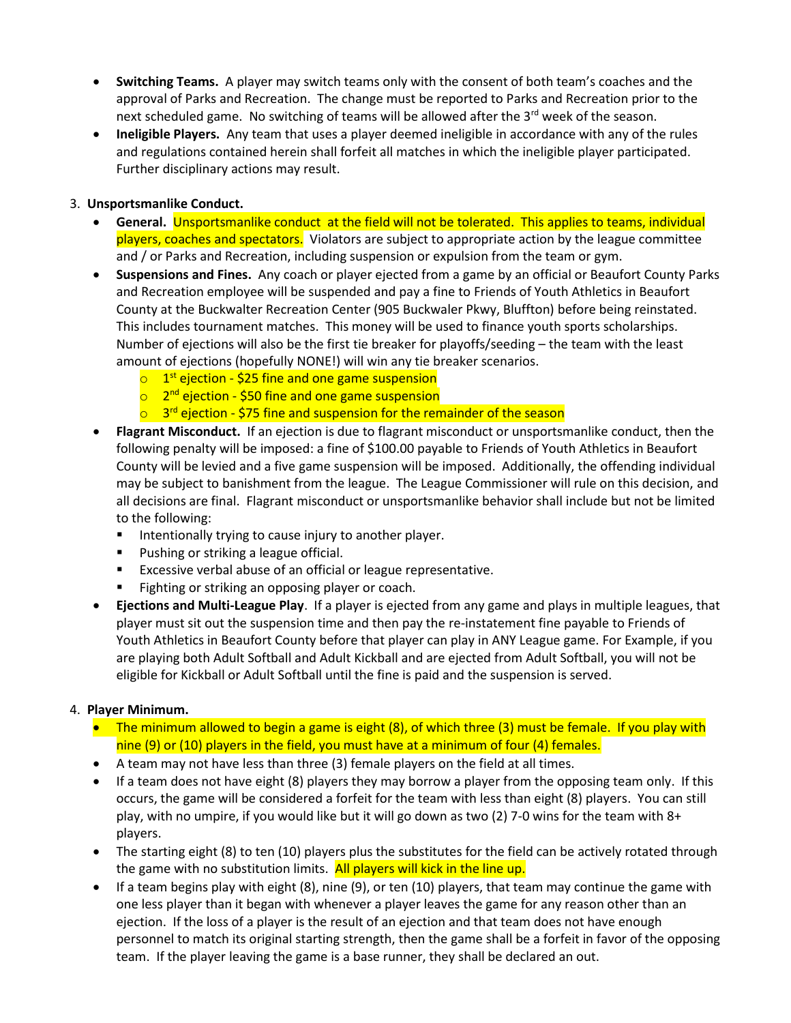- **Switching Teams.** A player may switch teams only with the consent of both team's coaches and the approval of Parks and Recreation. The change must be reported to Parks and Recreation prior to the next scheduled game. No switching of teams will be allowed after the 3<sup>rd</sup> week of the season.
- **Ineligible Players.** Any team that uses a player deemed ineligible in accordance with any of the rules and regulations contained herein shall forfeit all matches in which the ineligible player participated. Further disciplinary actions may result.

#### 3. **Unsportsmanlike Conduct.**

- **General.** Unsportsmanlike conduct at the field will not be tolerated. This applies to teams, individual players, coaches and spectators. Violators are subject to appropriate action by the league committee and / or Parks and Recreation, including suspension or expulsion from the team or gym.
- **Suspensions and Fines.** Any coach or player ejected from a game by an official or Beaufort County Parks and Recreation employee will be suspended and pay a fine to Friends of Youth Athletics in Beaufort County at the Buckwalter Recreation Center (905 Buckwaler Pkwy, Bluffton) before being reinstated. This includes tournament matches. This money will be used to finance youth sports scholarships. Number of ejections will also be the first tie breaker for playoffs/seeding – the team with the least amount of ejections (hopefully NONE!) will win any tie breaker scenarios.
	- $\circ$  1<sup>st</sup> ejection \$25 fine and one game suspension
	- 2<sup>nd</sup> ejection \$50 fine and one game suspension
	- $\circ$  3<sup>rd</sup> ejection \$75 fine and suspension for the remainder of the season
- **Flagrant Misconduct.** If an ejection is due to flagrant misconduct or unsportsmanlike conduct, then the following penalty will be imposed: a fine of \$100.00 payable to Friends of Youth Athletics in Beaufort County will be levied and a five game suspension will be imposed. Additionally, the offending individual may be subject to banishment from the league. The League Commissioner will rule on this decision, and all decisions are final. Flagrant misconduct or unsportsmanlike behavior shall include but not be limited to the following:
	- Intentionally trying to cause injury to another player.
	- **Pushing or striking a league official.**
	- Excessive verbal abuse of an official or league representative.
	- Fighting or striking an opposing player or coach.
- **Ejections and Multi-League Play**. If a player is ejected from any game and plays in multiple leagues, that player must sit out the suspension time and then pay the re-instatement fine payable to Friends of Youth Athletics in Beaufort County before that player can play in ANY League game. For Example, if you are playing both Adult Softball and Adult Kickball and are ejected from Adult Softball, you will not be eligible for Kickball or Adult Softball until the fine is paid and the suspension is served.

#### 4. **Player Minimum.**

- The minimum allowed to begin a game is eight (8), of which three (3) must be female. If you play with nine (9) or (10) players in the field, you must have at a minimum of four (4) females.
- A team may not have less than three (3) female players on the field at all times.
- If a team does not have eight (8) players they may borrow a player from the opposing team only. If this occurs, the game will be considered a forfeit for the team with less than eight (8) players. You can still play, with no umpire, if you would like but it will go down as two (2) 7-0 wins for the team with 8+ players.
- The starting eight (8) to ten (10) players plus the substitutes for the field can be actively rotated through the game with no substitution limits. All players will kick in the line up.
- If a team begins play with eight (8), nine (9), or ten (10) players, that team may continue the game with one less player than it began with whenever a player leaves the game for any reason other than an ejection. If the loss of a player is the result of an ejection and that team does not have enough personnel to match its original starting strength, then the game shall be a forfeit in favor of the opposing team. If the player leaving the game is a base runner, they shall be declared an out.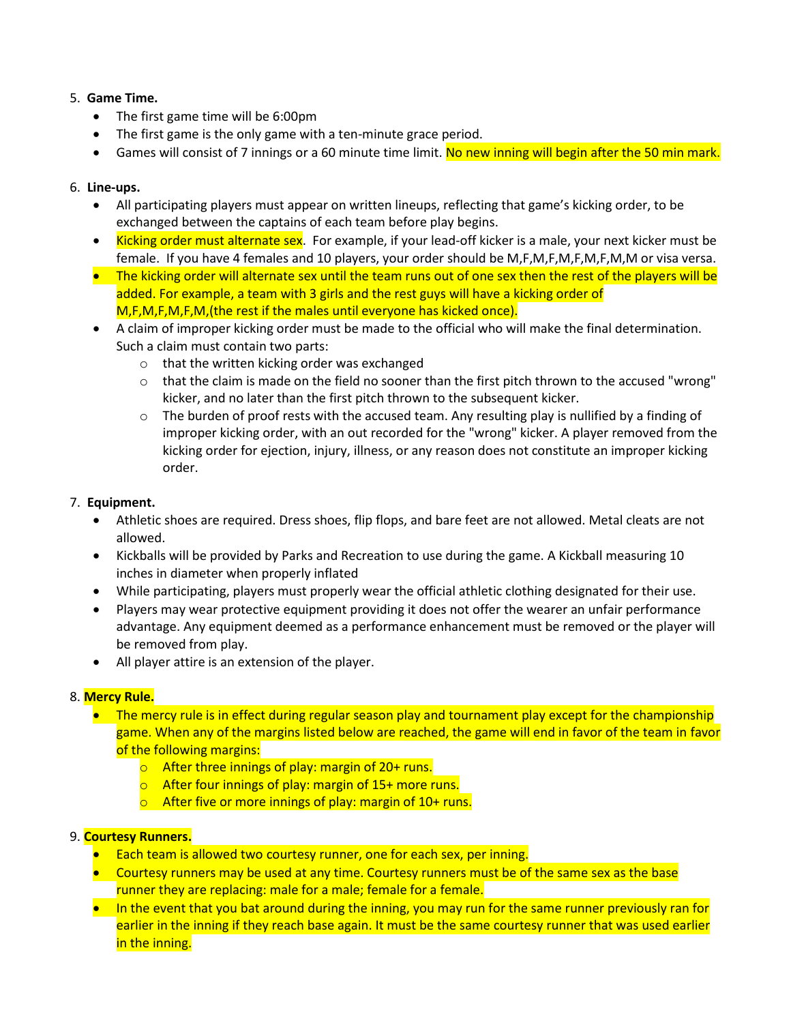#### 5. **Game Time.**

- The first game time will be 6:00pm
- The first game is the only game with a ten-minute grace period.
- Games will consist of 7 innings or a 60 minute time limit. No new inning will begin after the 50 min mark.

#### 6. **Line-ups.**

- All participating players must appear on written lineups, reflecting that game's kicking order, to be exchanged between the captains of each team before play begins.
- Kicking order must alternate sex. For example, if your lead-off kicker is a male, your next kicker must be female. If you have 4 females and 10 players, your order should be M,F,M,F,M,F,M,F,M,M or visa versa.
- The kicking order will alternate sex until the team runs out of one sex then the rest of the players will be added. For example, a team with 3 girls and the rest guys will have a kicking order of M,F,M,F,M,F,M,(the rest if the males until everyone has kicked once).
- A claim of improper kicking order must be made to the official who will make the final determination. Such a claim must contain two parts:
	- o that the written kicking order was exchanged
	- $\circ$  that the claim is made on the field no sooner than the first pitch thrown to the accused "wrong" kicker, and no later than the first pitch thrown to the subsequent kicker.
	- $\circ$  The burden of proof rests with the accused team. Any resulting play is nullified by a finding of improper kicking order, with an out recorded for the "wrong" kicker. A player removed from the kicking order for ejection, injury, illness, or any reason does not constitute an improper kicking order.

#### 7. **Equipment.**

- Athletic shoes are required. Dress shoes, flip flops, and bare feet are not allowed. Metal cleats are not allowed.
- Kickballs will be provided by Parks and Recreation to use during the game. A Kickball measuring 10 inches in diameter when properly inflated
- While participating, players must properly wear the official athletic clothing designated for their use.
- Players may wear protective equipment providing it does not offer the wearer an unfair performance advantage. Any equipment deemed as a performance enhancement must be removed or the player will be removed from play.
- All player attire is an extension of the player.

#### 8. **Mercy Rule.**

- The mercy rule is in effect during regular season play and tournament play except for the championship game. When any of the margins listed below are reached, the game will end in favor of the team in favor of the following margins:
	- $\circ$  After three innings of play: margin of 20+ runs.
	- o After four innings of play: margin of 15+ more runs.
	- $\circ$  After five or more innings of play: margin of 10+ runs.

#### 9. **Courtesy Runners.**

- Each team is allowed two courtesy runner, one for each sex, per inning.
- Courtesy runners may be used at any time. Courtesy runners must be of the same sex as the base runner they are replacing: male for a male; female for a female.
- In the event that you bat around during the inning, you may run for the same runner previously ran for earlier in the inning if they reach base again. It must be the same courtesy runner that was used earlier in the inning.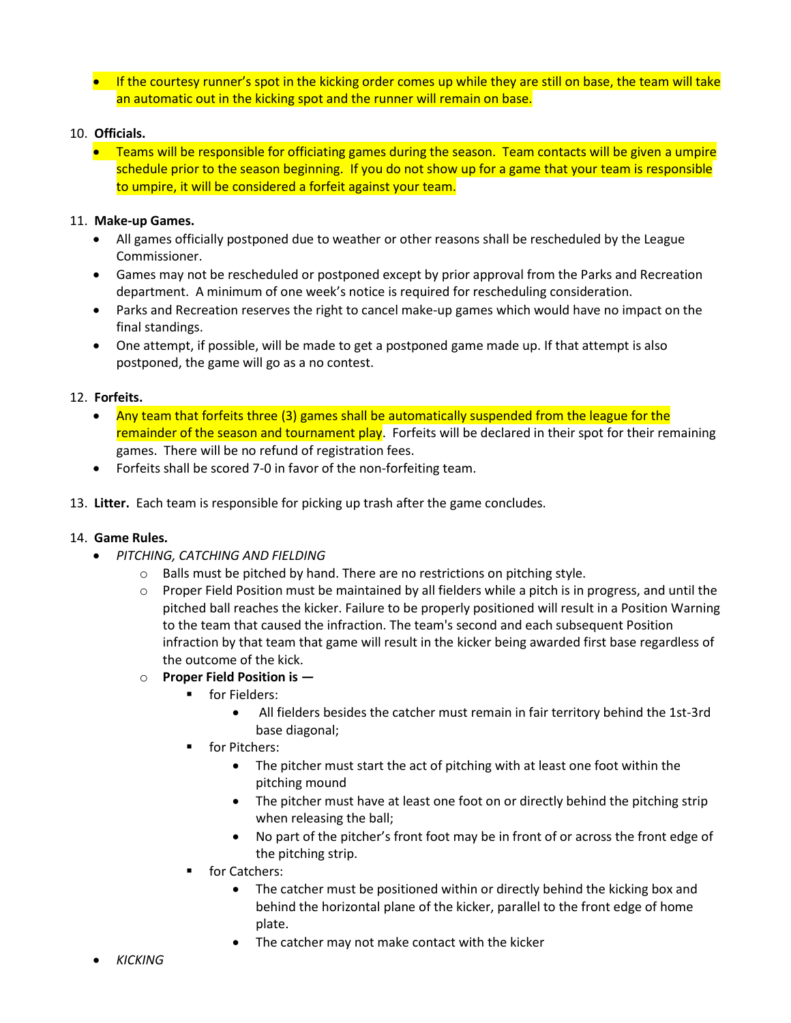**If the courtesy runner's spot in the kicking order comes up while they are still on base, the team will take** an automatic out in the kicking spot and the runner will remain on base.

#### 10. **Officials.**

 Teams will be responsible for officiating games during the season. Team contacts will be given a umpire schedule prior to the season beginning. If you do not show up for a game that your team is responsible to umpire, it will be considered a forfeit against your team.

#### 11. **Make-up Games.**

- All games officially postponed due to weather or other reasons shall be rescheduled by the League Commissioner.
- Games may not be rescheduled or postponed except by prior approval from the Parks and Recreation department. A minimum of one week's notice is required for rescheduling consideration.
- Parks and Recreation reserves the right to cancel make-up games which would have no impact on the final standings.
- One attempt, if possible, will be made to get a postponed game made up. If that attempt is also postponed, the game will go as a no contest.

#### 12. **Forfeits.**

- Any team that forfeits three (3) games shall be automatically suspended from the league for the remainder of the season and tournament play. Forfeits will be declared in their spot for their remaining games. There will be no refund of registration fees.
- Forfeits shall be scored 7-0 in favor of the non-forfeiting team.
- 13. **Litter.** Each team is responsible for picking up trash after the game concludes.

#### 14. **Game Rules.**

- *PITCHING, CATCHING AND FIELDING*
	- o Balls must be pitched by hand. There are no restrictions on pitching style.
	- $\circ$  Proper Field Position must be maintained by all fielders while a pitch is in progress, and until the pitched ball reaches the kicker. Failure to be properly positioned will result in a Position Warning to the team that caused the infraction. The team's second and each subsequent Position infraction by that team that game will result in the kicker being awarded first base regardless of the outcome of the kick.
	- o **Proper Field Position is —**
		- **Fielders:** 
			- All fielders besides the catcher must remain in fair territory behind the 1st-3rd base diagonal;
		- **for Pitchers:** 
			- The pitcher must start the act of pitching with at least one foot within the pitching mound
			- The pitcher must have at least one foot on or directly behind the pitching strip when releasing the ball;
			- No part of the pitcher's front foot may be in front of or across the front edge of the pitching strip.
		- **for Catchers:** 
			- The catcher must be positioned within or directly behind the kicking box and behind the horizontal plane of the kicker, parallel to the front edge of home plate.
			- The catcher may not make contact with the kicker
- *KICKING*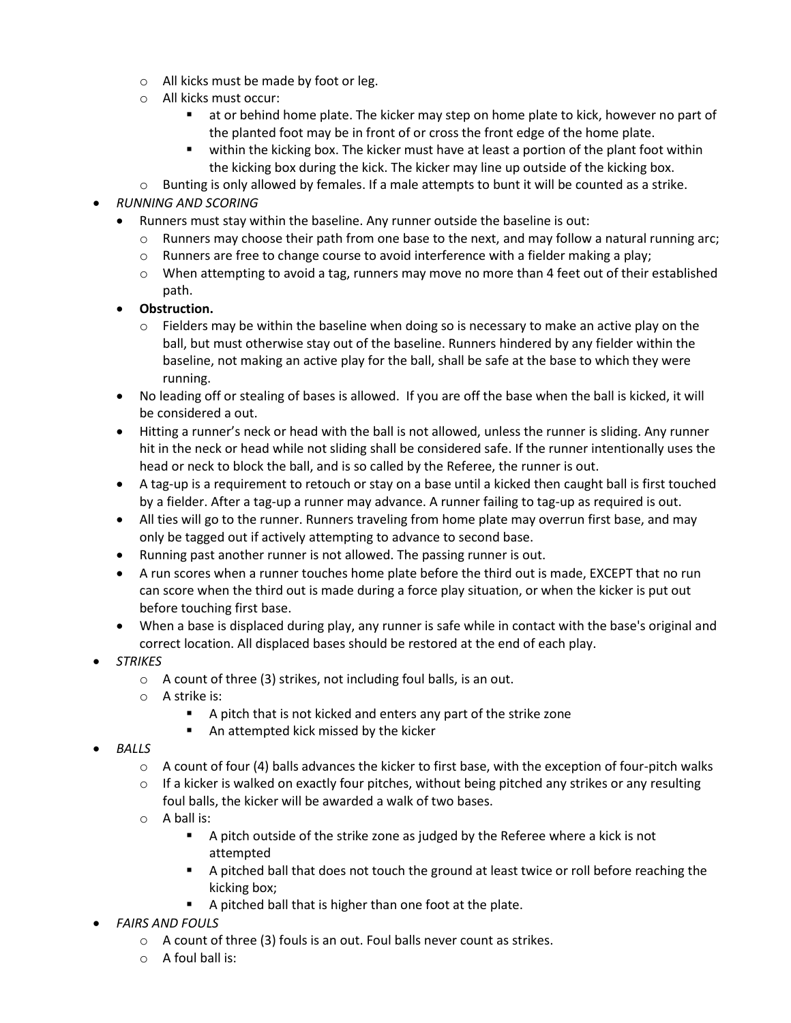- o All kicks must be made by foot or leg.
- o All kicks must occur:
	- at or behind home plate. The kicker may step on home plate to kick, however no part of the planted foot may be in front of or cross the front edge of the home plate.
	- within the kicking box. The kicker must have at least a portion of the plant foot within the kicking box during the kick. The kicker may line up outside of the kicking box.
- $\circ$  Bunting is only allowed by females. If a male attempts to bunt it will be counted as a strike.

#### *RUNNING AND SCORING*

- Runners must stay within the baseline. Any runner outside the baseline is out:
	- $\circ$  Runners may choose their path from one base to the next, and may follow a natural running arc;
	- $\circ$  Runners are free to change course to avoid interference with a fielder making a play;
	- $\circ$  When attempting to avoid a tag, runners may move no more than 4 feet out of their established path.
- **Obstruction.** 
	- $\circ$  Fielders may be within the baseline when doing so is necessary to make an active play on the ball, but must otherwise stay out of the baseline. Runners hindered by any fielder within the baseline, not making an active play for the ball, shall be safe at the base to which they were running.
- No leading off or stealing of bases is allowed. If you are off the base when the ball is kicked, it will be considered a out.
- Hitting a runner's neck or head with the ball is not allowed, unless the runner is sliding. Any runner hit in the neck or head while not sliding shall be considered safe. If the runner intentionally uses the head or neck to block the ball, and is so called by the Referee, the runner is out.
- A tag-up is a requirement to retouch or stay on a base until a kicked then caught ball is first touched by a fielder. After a tag-up a runner may advance. A runner failing to tag-up as required is out.
- All ties will go to the runner. Runners traveling from home plate may overrun first base, and may only be tagged out if actively attempting to advance to second base.
- Running past another runner is not allowed. The passing runner is out.
- A run scores when a runner touches home plate before the third out is made, EXCEPT that no run can score when the third out is made during a force play situation, or when the kicker is put out before touching first base.
- When a base is displaced during play, any runner is safe while in contact with the base's original and correct location. All displaced bases should be restored at the end of each play.
- *STRIKES*
	- $\circ$  A count of three (3) strikes, not including foul balls, is an out.
	- o A strike is:
		- A pitch that is not kicked and enters any part of the strike zone
		- An attempted kick missed by the kicker
- *BALLS*
	- $\circ$  A count of four (4) balls advances the kicker to first base, with the exception of four-pitch walks
	- $\circ$  If a kicker is walked on exactly four pitches, without being pitched any strikes or any resulting foul balls, the kicker will be awarded a walk of two bases.
	- o A ball is:
		- A pitch outside of the strike zone as judged by the Referee where a kick is not attempted
		- A pitched ball that does not touch the ground at least twice or roll before reaching the kicking box;
		- A pitched ball that is higher than one foot at the plate.
- *FAIRS AND FOULS*
	- $\circ$  A count of three (3) fouls is an out. Foul balls never count as strikes.
	- o A foul ball is: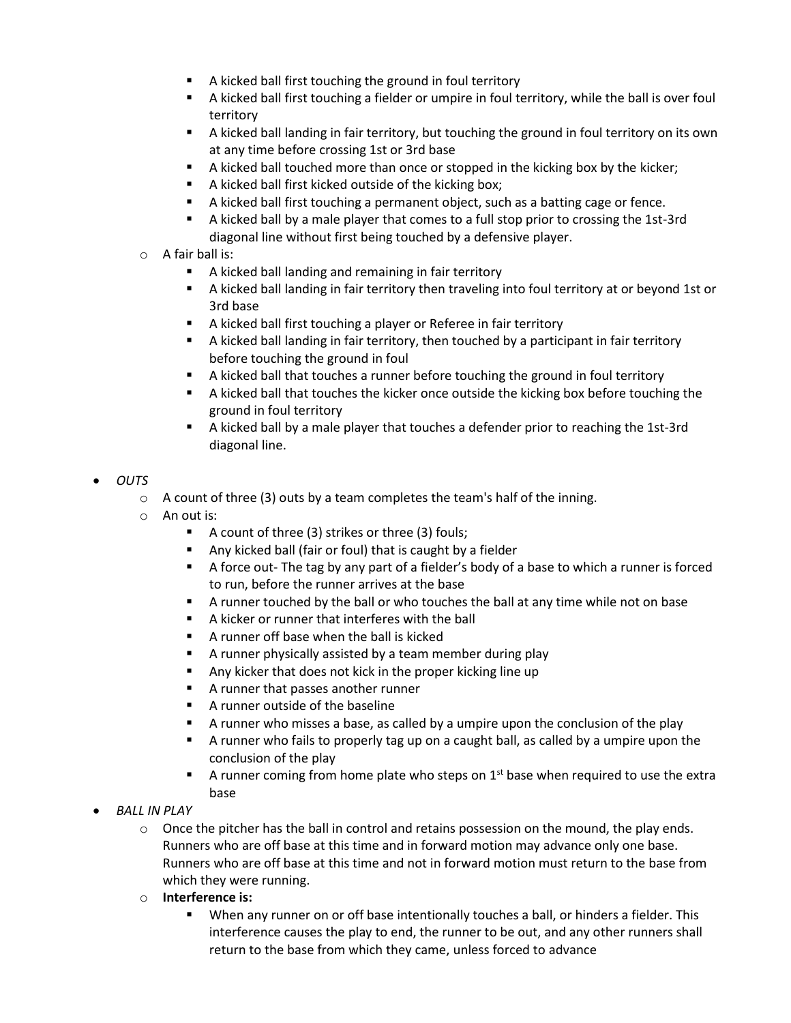- A kicked ball first touching the ground in foul territory
- A kicked ball first touching a fielder or umpire in foul territory, while the ball is over foul territory
- A kicked ball landing in fair territory, but touching the ground in foul territory on its own at any time before crossing 1st or 3rd base
- A kicked ball touched more than once or stopped in the kicking box by the kicker;
- A kicked ball first kicked outside of the kicking box;
- A kicked ball first touching a permanent object, such as a batting cage or fence.
- A kicked ball by a male player that comes to a full stop prior to crossing the 1st-3rd diagonal line without first being touched by a defensive player.
- o A fair ball is:
	- A kicked ball landing and remaining in fair territory
	- A kicked ball landing in fair territory then traveling into foul territory at or beyond 1st or 3rd base
	- A kicked ball first touching a player or Referee in fair territory
	- A kicked ball landing in fair territory, then touched by a participant in fair territory before touching the ground in foul
	- A kicked ball that touches a runner before touching the ground in foul territory
	- A kicked ball that touches the kicker once outside the kicking box before touching the ground in foul territory
	- A kicked ball by a male player that touches a defender prior to reaching the 1st-3rd diagonal line.
- *OUTS*
	- $\circ$  A count of three (3) outs by a team completes the team's half of the inning.
	- o An out is:
		- A count of three (3) strikes or three (3) fouls;
		- Any kicked ball (fair or foul) that is caught by a fielder
		- A force out- The tag by any part of a fielder's body of a base to which a runner is forced to run, before the runner arrives at the base
		- A runner touched by the ball or who touches the ball at any time while not on base
		- A kicker or runner that interferes with the ball
		- A runner off base when the ball is kicked
		- A runner physically assisted by a team member during play
		- Any kicker that does not kick in the proper kicking line up
		- **A** runner that passes another runner
		- **A runner outside of the baseline**
		- A runner who misses a base, as called by a umpire upon the conclusion of the play
		- A runner who fails to properly tag up on a caught ball, as called by a umpire upon the conclusion of the play
		- $\blacksquare$  A runner coming from home plate who steps on  $1^{st}$  base when required to use the extra base
- *BALL IN PLAY*
	- $\circ$  Once the pitcher has the ball in control and retains possession on the mound, the play ends. Runners who are off base at this time and in forward motion may advance only one base. Runners who are off base at this time and not in forward motion must return to the base from which they were running.
	- o **Interference is:**
		- When any runner on or off base intentionally touches a ball, or hinders a fielder. This interference causes the play to end, the runner to be out, and any other runners shall return to the base from which they came, unless forced to advance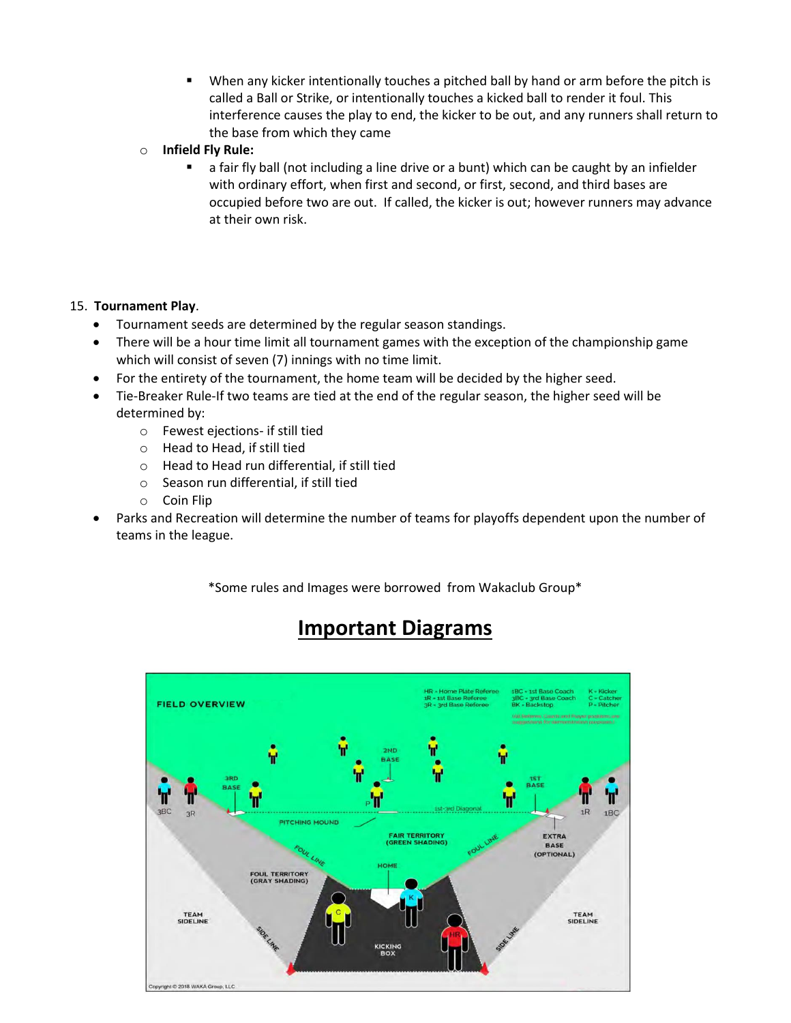- When any kicker intentionally touches a pitched ball by hand or arm before the pitch is called a Ball or Strike, or intentionally touches a kicked ball to render it foul. This interference causes the play to end, the kicker to be out, and any runners shall return to the base from which they came
- o **Infield Fly Rule:**
	- a fair fly ball (not including a line drive or a bunt) which can be caught by an infielder with ordinary effort, when first and second, or first, second, and third bases are occupied before two are out. If called, the kicker is out; however runners may advance at their own risk.

#### 15. **Tournament Play**.

- Tournament seeds are determined by the regular season standings.
- There will be a hour time limit all tournament games with the exception of the championship game which will consist of seven (7) innings with no time limit.
- For the entirety of the tournament, the home team will be decided by the higher seed.
- Tie-Breaker Rule-If two teams are tied at the end of the regular season, the higher seed will be determined by:
	- o Fewest ejections- if still tied
	- o Head to Head, if still tied
	- o Head to Head run differential, if still tied
	- o Season run differential, if still tied
	- o Coin Flip
- Parks and Recreation will determine the number of teams for playoffs dependent upon the number of teams in the league.

\*Some rules and Images were borrowed from Wakaclub Group\*

## **Important Diagrams**